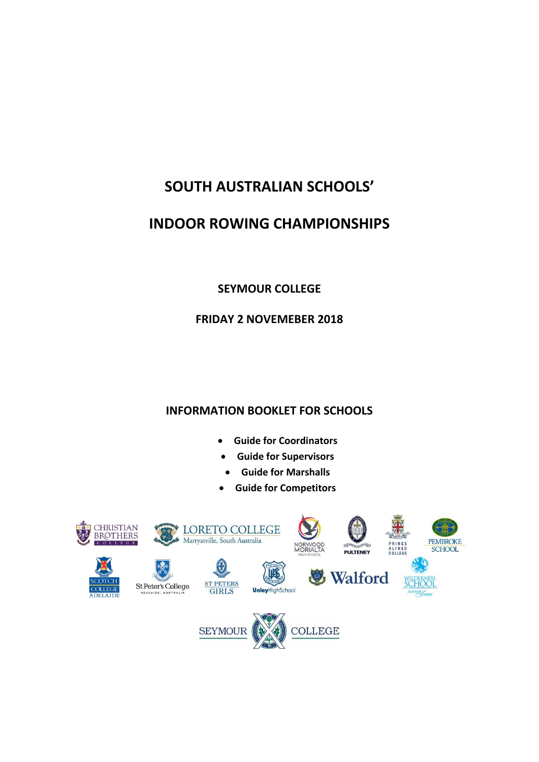# **SOUTH AUSTRALIAN SCHOOLS'**

## **INDOOR ROWING CHAMPIONSHIPS**

## **SEYMOUR COLLEGE**

### **FRIDAY 2 NOVEMEBER 2018**

## **INFORMATION BOOKLET FOR SCHOOLS**

- **Guide for Coordinators**
- **Guide for Supervisors**
- **Guide for Marshalls**
- **Guide for Competitors**

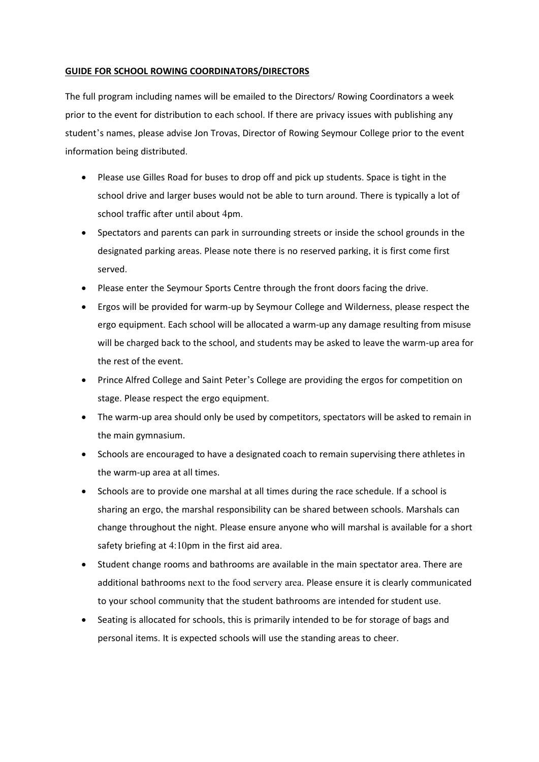#### **GUIDE FOR SCHOOL ROWING COORDINATORS/DIRECTORS**

The full program including names will be emailed to the Directors/ Rowing Coordinators a week prior to the event for distribution to each school. If there are privacy issues with publishing any student's names, please advise Jon Trovas, Director of Rowing Seymour College prior to the event information being distributed.

- Please use Gilles Road for buses to drop off and pick up students. Space is tight in the school drive and larger buses would not be able to turn around. There is typically a lot of school traffic after until about 4pm.
- Spectators and parents can park in surrounding streets or inside the school grounds in the designated parking areas. Please note there is no reserved parking, it is first come first served.
- Please enter the Seymour Sports Centre through the front doors facing the drive.
- Ergos will be provided for warm-up by Seymour College and Wilderness, please respect the ergo equipment. Each school will be allocated a warm-up any damage resulting from misuse will be charged back to the school, and students may be asked to leave the warm-up area for the rest of the event.
- Prince Alfred College and Saint Peter's College are providing the ergos for competition on stage. Please respect the ergo equipment.
- The warm-up area should only be used by competitors, spectators will be asked to remain in the main gymnasium.
- Schools are encouraged to have a designated coach to remain supervising there athletes in the warm-up area at all times.
- Schools are to provide one marshal at all times during the race schedule. If a school is sharing an ergo, the marshal responsibility can be shared between schools. Marshals can change throughout the night. Please ensure anyone who will marshal is available for a short safety briefing at 4:10pm in the first aid area.
- Student change rooms and bathrooms are available in the main spectator area. There are additional bathrooms next to the food servery area. Please ensure it is clearly communicated to your school community that the student bathrooms are intended for student use.
- Seating is allocated for schools, this is primarily intended to be for storage of bags and personal items. It is expected schools will use the standing areas to cheer.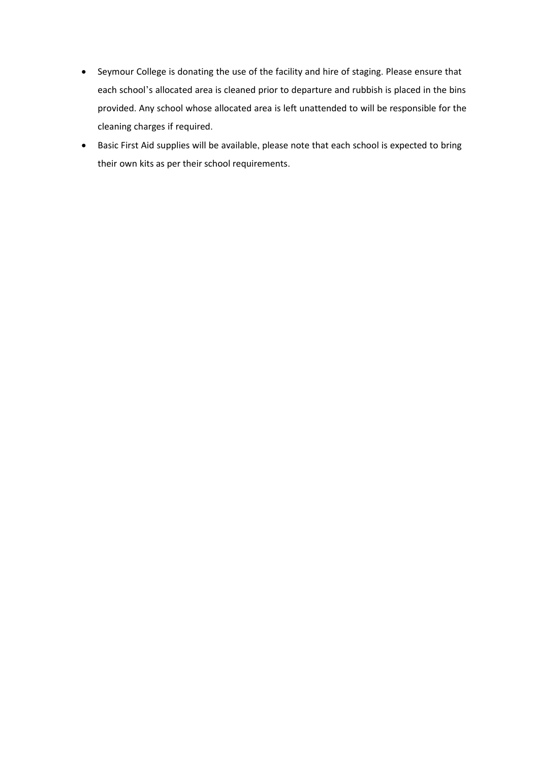- Seymour College is donating the use of the facility and hire of staging. Please ensure that each school's allocated area is cleaned prior to departure and rubbish is placed in the bins provided. Any school whose allocated area is left unattended to will be responsible for the cleaning charges if required.
- Basic First Aid supplies will be available, please note that each school is expected to bring their own kits as per their school requirements.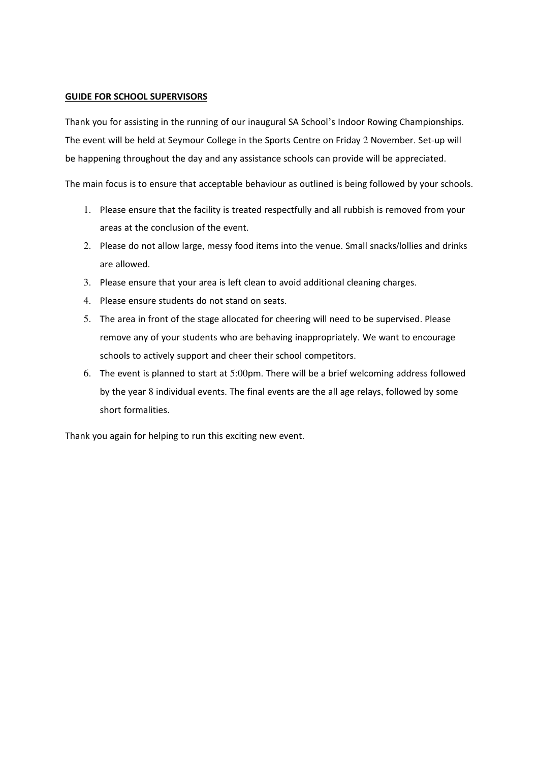#### **GUIDE FOR SCHOOL SUPERVISORS**

Thank you for assisting in the running of our inaugural SA School's Indoor Rowing Championships. The event will be held at Seymour College in the Sports Centre on Friday 2 November. Set-up will be happening throughout the day and any assistance schools can provide will be appreciated.

The main focus is to ensure that acceptable behaviour as outlined is being followed by your schools.

- 1. Please ensure that the facility is treated respectfully and all rubbish is removed from your areas at the conclusion of the event.
- 2. Please do not allow large, messy food items into the venue. Small snacks/lollies and drinks are allowed.
- 3. Please ensure that your area is left clean to avoid additional cleaning charges.
- 4. Please ensure students do not stand on seats.
- 5. The area in front of the stage allocated for cheering will need to be supervised. Please remove any of your students who are behaving inappropriately. We want to encourage schools to actively support and cheer their school competitors.
- 6. The event is planned to start at 5:00pm. There will be a brief welcoming address followed by the year 8 individual events. The final events are the all age relays, followed by some short formalities.

Thank you again for helping to run this exciting new event.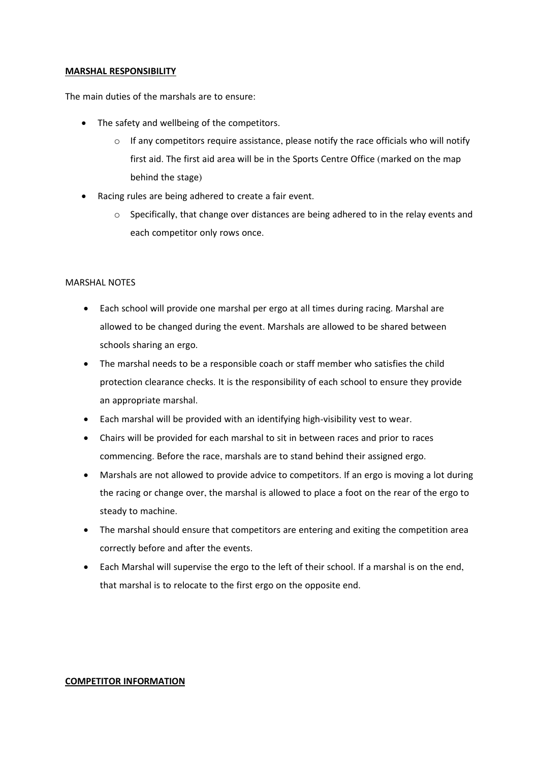#### **MARSHAL RESPONSIBILITY**

The main duties of the marshals are to ensure:

- The safety and wellbeing of the competitors.
	- $\circ$  If any competitors require assistance, please notify the race officials who will notify first aid. The first aid area will be in the Sports Centre Office (marked on the map behind the stage)
- Racing rules are being adhered to create a fair event.
	- $\circ$  Specifically, that change over distances are being adhered to in the relay events and each competitor only rows once.

#### MARSHAL NOTES

- Each school will provide one marshal per ergo at all times during racing. Marshal are allowed to be changed during the event. Marshals are allowed to be shared between schools sharing an ergo.
- The marshal needs to be a responsible coach or staff member who satisfies the child protection clearance checks. It is the responsibility of each school to ensure they provide an appropriate marshal.
- Each marshal will be provided with an identifying high-visibility vest to wear.
- Chairs will be provided for each marshal to sit in between races and prior to races commencing. Before the race, marshals are to stand behind their assigned ergo.
- Marshals are not allowed to provide advice to competitors. If an ergo is moving a lot during the racing or change over, the marshal is allowed to place a foot on the rear of the ergo to steady to machine.
- The marshal should ensure that competitors are entering and exiting the competition area correctly before and after the events.
- Each Marshal will supervise the ergo to the left of their school. If a marshal is on the end, that marshal is to relocate to the first ergo on the opposite end.

#### **COMPETITOR INFORMATION**